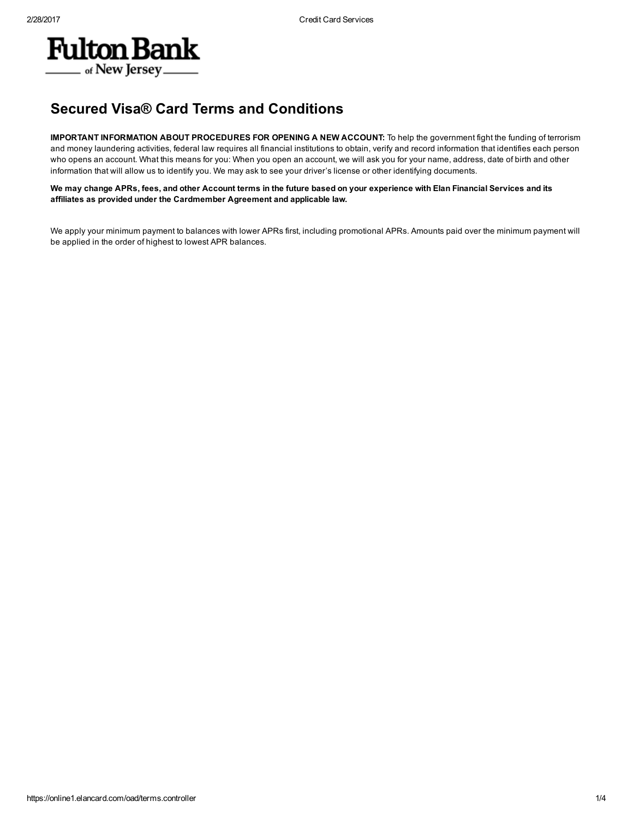

## Secured Visa® Card Terms and Conditions

IMPORTANT INFORMATION ABOUT PROCEDURES FOR OPENING A NEW ACCOUNT: To help the government fight the funding of terrorism and money laundering activities, federal law requires all financial institutions to obtain, verify and record information that identifies each person who opens an account. What this means for you: When you open an account, we will ask you for your name, address, date of birth and other information that will allow us to identify you. We may ask to see your driver's license or other identifying documents.

We may change APRs, fees, and other Account terms in the future based on your experience with Elan Financial Services and its affiliates as provided under the Cardmember Agreement and applicable law.

We apply your minimum payment to balances with lower APRs first, including promotional APRs. Amounts paid over the minimum payment will be applied in the order of highest to lowest APR balances.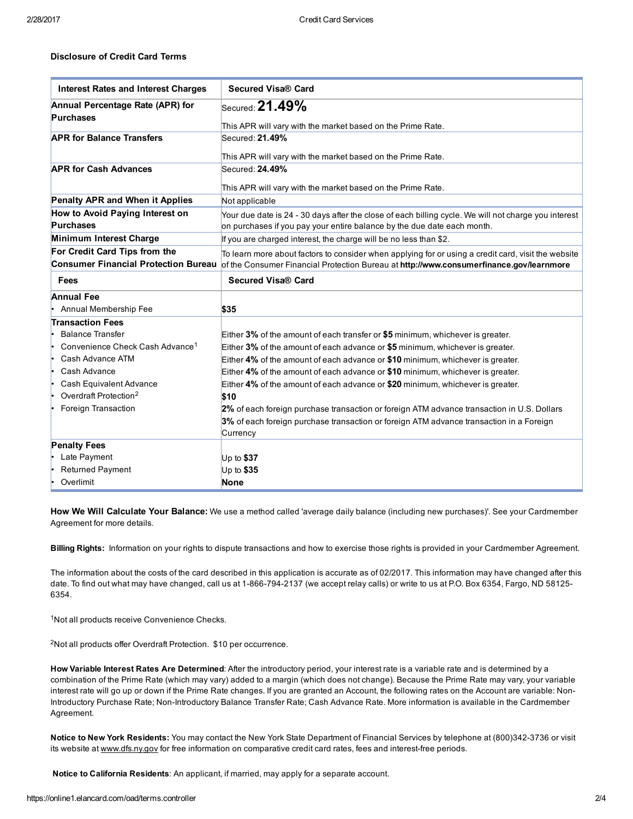## Disclosure of Credit Card Terms

| <b>Interest Rates and Interest Charges</b>  | <b>Secured Visa® Card</b>                                                                            |
|---------------------------------------------|------------------------------------------------------------------------------------------------------|
| Annual Percentage Rate (APR) for            | Secured: 21.49%                                                                                      |
| <b>Purchases</b>                            |                                                                                                      |
|                                             | This APR will vary with the market based on the Prime Rate.                                          |
| <b>APR for Balance Transfers</b>            | Secured: 21.49%                                                                                      |
|                                             | This APR will vary with the market based on the Prime Rate.                                          |
| <b>APR for Cash Advances</b>                | Secured: 24.49%                                                                                      |
|                                             |                                                                                                      |
|                                             | This APR will vary with the market based on the Prime Rate.                                          |
| Penalty APR and When it Applies             | Not applicable                                                                                       |
| How to Avoid Paying Interest on             | Your due date is 24 - 30 days after the close of each billing cycle. We will not charge you interest |
| <b>Purchases</b>                            | on purchases if you pay your entire balance by the due date each month.                              |
| Minimum Interest Charge                     | If you are charged interest, the charge will be no less than \$2.                                    |
| For Credit Card Tips from the               | To learn more about factors to consider when applying for or using a credit card, visit the website  |
| <b>Consumer Financial Protection Bureau</b> | of the Consumer Financial Protection Bureau at http://www.consumerfinance.gov/learnmore              |
| Fees                                        | Secured Visa® Card                                                                                   |
| <b>Annual Fee</b>                           |                                                                                                      |
| Annual Membership Fee                       | \$35                                                                                                 |
| <b>Transaction Fees</b>                     |                                                                                                      |
| <b>Balance Transfer</b>                     | Either $3\%$ of the amount of each transfer or \$5 minimum, whichever is greater.                    |
| Convenience Check Cash Advance <sup>1</sup> | Either 3% of the amount of each advance or \$5 minimum, whichever is greater.                        |
| Cash Advance ATM                            | Either 4% of the amount of each advance or \$10 minimum, whichever is greater.                       |
| Cash Advance                                | Either 4% of the amount of each advance or \$10 minimum, whichever is greater.                       |
| Cash Equivalent Advance<br>١.               | Either 4% of the amount of each advance or \$20 minimum, whichever is greater.                       |
| Overdraft Protection <sup>2</sup>           | \$10                                                                                                 |
| Foreign Transaction                         | 2% of each foreign purchase transaction or foreign ATM advance transaction in U.S. Dollars           |
|                                             | 3% of each foreign purchase transaction or foreign ATM advance transaction in a Foreign              |
|                                             | Currency                                                                                             |
| <b>Penalty Fees</b>                         |                                                                                                      |
| Late Payment                                | Up to $$37$                                                                                          |
| <b>Returned Payment</b>                     | Up to \$35                                                                                           |
| Overlimit                                   | <b>None</b>                                                                                          |

How We Will Calculate Your Balance: We use a method called 'average daily balance (including new purchases)'. See your Cardmember Agreement for more details.

Billing Rights: Information on your rights to dispute transactions and how to exercise those rights is provided in your Cardmember Agreement.

The information about the costs of the card described in this application is accurate as of 02/2017. This information may have changed after this date. To find out what may have changed, call us at 1-866-794-2137 (we accept relay calls) or write to us at P.O. Box 6354, Fargo, ND 58125-6354.

<sup>1</sup>Not all products receive Convenience Checks.

<sup>2</sup>Not all products offer Overdraft Protection. \$10 per occurrence.

How Variable Interest Rates Are Determined: After the introductory period, your interest rate is a variable rate and is determined by a combination of the Prime Rate (which may vary) added to a margin (which does not change). Because the Prime Rate may vary, your variable interest rate will go up or down if the Prime Rate changes. If you are granted an Account, the following rates on the Account are variable: Non-Introductory Purchase Rate; Non-Introductory Balance Transfer Rate; Cash Advance Rate. More information is available in the Cardmember Agreement.

Notice to New York Residents: You may contact the New York State Department of Financial Services by telephone at (800)342-3736 or visit its website at [www.dfs.ny.gov](http://www.dfs.ny.gov/) for free information on comparative credit card rates, fees and interest-free periods.

Notice to California Residents: An applicant, if married, may apply for a separate account.